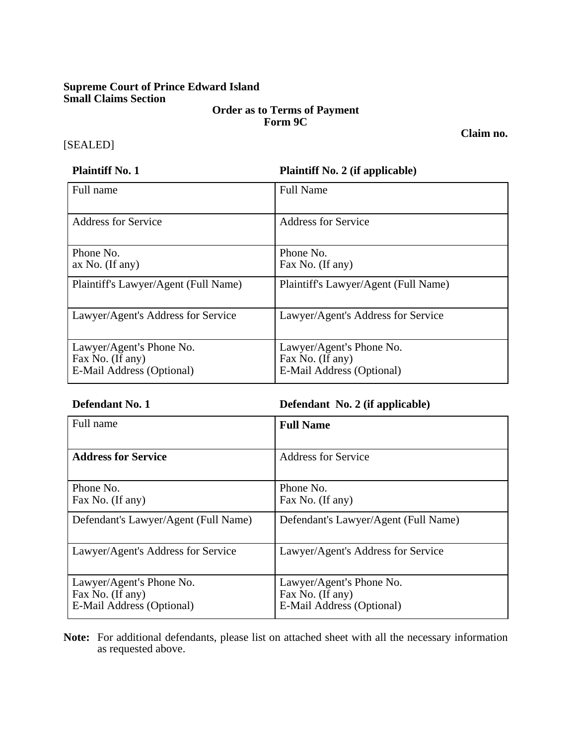# **Supreme Court of Prince Edward Island Small Claims Section**

### **Order as to Terms of Payment Form 9C**

#### [SEALED]

**Plaintiff No. 1 Plaintiff No. 2** (if applicable)

| Full name                                                                 | <b>Full Name</b>                                                          |
|---------------------------------------------------------------------------|---------------------------------------------------------------------------|
| <b>Address for Service</b>                                                | <b>Address for Service</b>                                                |
| Phone No.<br>ax No. (If any)                                              | Phone No.<br>Fax No. (If any)                                             |
| Plaintiff's Lawyer/Agent (Full Name)                                      | Plaintiff's Lawyer/Agent (Full Name)                                      |
| Lawyer/Agent's Address for Service                                        | Lawyer/Agent's Address for Service                                        |
| Lawyer/Agent's Phone No.<br>Fax No. (If any)<br>E-Mail Address (Optional) | Lawyer/Agent's Phone No.<br>Fax No. (If any)<br>E-Mail Address (Optional) |

**Defendant No. 1 Defendant No. 2 (if applicable)**

| Full name                                                                 | <b>Full Name</b>                                                          |
|---------------------------------------------------------------------------|---------------------------------------------------------------------------|
| <b>Address for Service</b>                                                | Address for Service                                                       |
| Phone No.<br>Fax No. (If any)                                             | Phone No.<br>Fax No. (If any)                                             |
| Defendant's Lawyer/Agent (Full Name)                                      | Defendant's Lawyer/Agent (Full Name)                                      |
| Lawyer/Agent's Address for Service                                        | Lawyer/Agent's Address for Service                                        |
| Lawyer/Agent's Phone No.<br>Fax No. (If any)<br>E-Mail Address (Optional) | Lawyer/Agent's Phone No.<br>Fax No. (If any)<br>E-Mail Address (Optional) |

**Note:** For additional defendants, please list on attached sheet with all the necessary information as requested above.

**Claim no.**